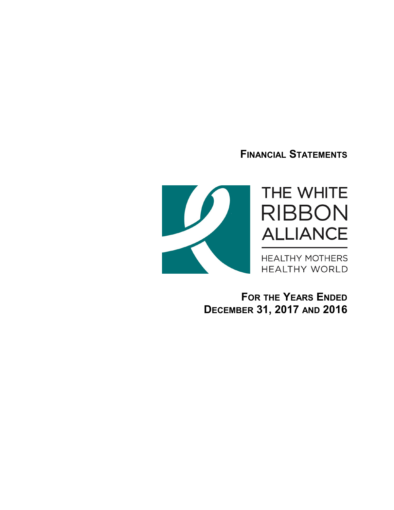**FINANCIAL STATEMENTS**



**FOR THE YEARS ENDED DECEMBER 31, 2017 AND 2016**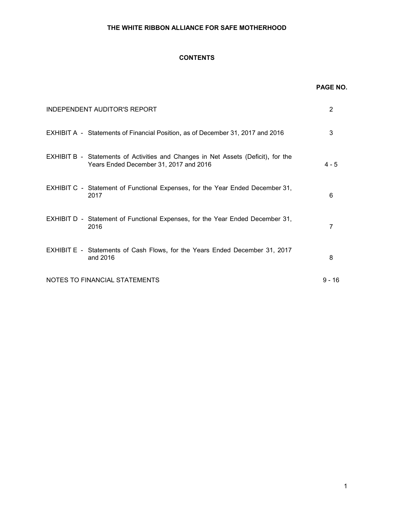# **CONTENTS**

|                                                                                                                                    | <b>PAGE NO.</b> |
|------------------------------------------------------------------------------------------------------------------------------------|-----------------|
| INDEPENDENT AUDITOR'S REPORT                                                                                                       | 2               |
| EXHIBIT A - Statements of Financial Position, as of December 31, 2017 and 2016                                                     | 3               |
| <b>EXHIBIT B - Statements of Activities and Changes in Net Assets (Deficit), for the</b><br>Years Ended December 31, 2017 and 2016 | $4 - 5$         |
| EXHIBIT C - Statement of Functional Expenses, for the Year Ended December 31,<br>2017                                              | 6               |
| EXHIBIT D - Statement of Functional Expenses, for the Year Ended December 31,<br>2016                                              | $\overline{7}$  |
| EXHIBIT E - Statements of Cash Flows, for the Years Ended December 31, 2017<br>and 2016                                            | 8               |
| NOTES TO FINANCIAL STATEMENTS                                                                                                      | $9 - 16$        |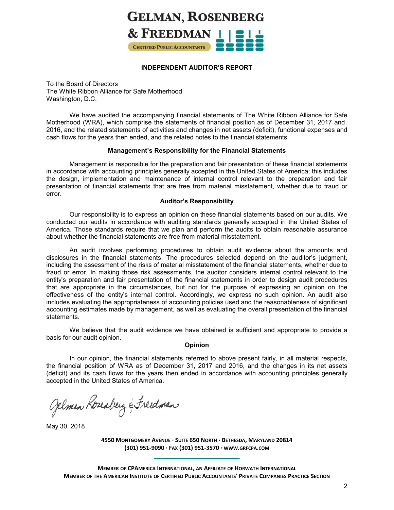

## **INDEPENDENT AUDITOR'S REPORT**

To the Board of Directors The White Ribbon Alliance for Safe Motherhood Washington, D.C.

We have audited the accompanying financial statements of The White Ribbon Alliance for Safe Motherhood (WRA), which comprise the statements of financial position as of December 31, 2017 and 2016, and the related statements of activities and changes in net assets (deficit), functional expenses and cash flows for the years then ended, and the related notes to the financial statements.

#### **Management's Responsibility for the Financial Statements**

Management is responsible for the preparation and fair presentation of these financial statements in accordance with accounting principles generally accepted in the United States of America; this includes the design, implementation and maintenance of internal control relevant to the preparation and fair presentation of financial statements that are free from material misstatement, whether due to fraud or error.

#### **Auditor's Responsibility**

Our responsibility is to express an opinion on these financial statements based on our audits. We conducted our audits in accordance with auditing standards generally accepted in the United States of America. Those standards require that we plan and perform the audits to obtain reasonable assurance about whether the financial statements are free from material misstatement.

An audit involves performing procedures to obtain audit evidence about the amounts and disclosures in the financial statements. The procedures selected depend on the auditor's judgment, including the assessment of the risks of material misstatement of the financial statements, whether due to fraud or error. In making those risk assessments, the auditor considers internal control relevant to the entity's preparation and fair presentation of the financial statements in order to design audit procedures that are appropriate in the circumstances, but not for the purpose of expressing an opinion on the effectiveness of the entity's internal control. Accordingly, we express no such opinion. An audit also includes evaluating the appropriateness of accounting policies used and the reasonableness of significant accounting estimates made by management, as well as evaluating the overall presentation of the financial statements.

We believe that the audit evidence we have obtained is sufficient and appropriate to provide a basis for our audit opinion.

#### **Opinion**

In our opinion, the financial statements referred to above present fairly, in all material respects, the financial position of WRA as of December 31, 2017 and 2016, and the changes in its net assets (deficit) and its cash flows for the years then ended in accordance with accounting principles generally accepted in the United States of America.

Gelman Konaberg & Freedman

May 30, 2018

**4550 MONTGOMERY AVENUE · SUITE 650 NORTH · BETHESDA, MARYLAND 20814 (301) 951-9090 · FAX (301) 951-3570 · WWW.GRFCPA.COM \_\_\_\_\_\_\_\_\_\_\_\_\_\_\_\_\_\_\_\_\_\_\_\_\_\_\_**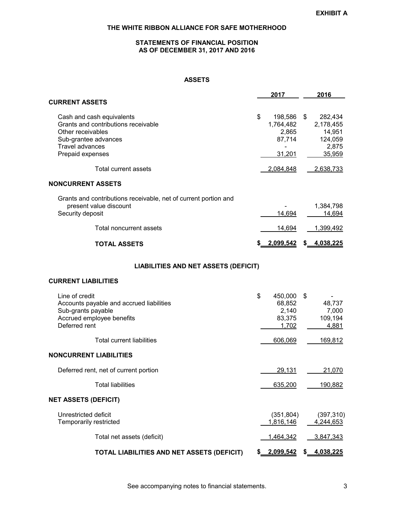## **STATEMENTS OF FINANCIAL POSITION AS OF DECEMBER 31, 2017 AND 2016**

# **ASSETS**

|                                                                                                                                                 | 2017                                                |     | 2016                                               |
|-------------------------------------------------------------------------------------------------------------------------------------------------|-----------------------------------------------------|-----|----------------------------------------------------|
| <b>CURRENT ASSETS</b>                                                                                                                           |                                                     |     |                                                    |
| Cash and cash equivalents<br>Grants and contributions receivable<br>Other receivables<br>Sub-grantee advances<br><b>Travel advances</b>         | \$<br>198,586<br>1,764,482<br>2,865<br>87,714       | \$  | 282,434<br>2,178,455<br>14,951<br>124,059<br>2,875 |
| Prepaid expenses                                                                                                                                | 31,201                                              |     | 35,959                                             |
| Total current assets                                                                                                                            | 2,084,848                                           |     | 2,638,733                                          |
| <b>NONCURRENT ASSETS</b>                                                                                                                        |                                                     |     |                                                    |
| Grants and contributions receivable, net of current portion and<br>present value discount<br>Security deposit<br><b>Total noncurrent assets</b> | 14,694<br>14,694                                    |     | 1,384,798<br>14,694<br>1,399,492                   |
| <b>TOTAL ASSETS</b>                                                                                                                             | \$ 2,099,542                                        |     | \$ 4,038,225                                       |
| <b>LIABILITIES AND NET ASSETS (DEFICIT)</b>                                                                                                     |                                                     |     |                                                    |
| <b>CURRENT LIABILITIES</b>                                                                                                                      |                                                     |     |                                                    |
| Line of credit<br>Accounts payable and accrued liabilities<br>Sub-grants payable<br>Accrued employee benefits<br>Deferred rent                  | \$<br>450,000<br>68,852<br>2,140<br>83,375<br>1,702 | \$  | 48,737<br>7,000<br>109,194<br>4,881                |
| <b>Total current liabilities</b>                                                                                                                | 606,069                                             |     | 169,812                                            |
| <b>NONCURRENT LIABILITIES</b>                                                                                                                   |                                                     |     |                                                    |
| Deferred rent, net of current portion                                                                                                           | 29,131                                              |     | 21,070                                             |
| <b>Total liabilities</b>                                                                                                                        | 635,200                                             |     | 190,882                                            |
| <b>NET ASSETS (DEFICIT)</b>                                                                                                                     |                                                     |     |                                                    |
| Unrestricted deficit<br><b>Temporarily restricted</b>                                                                                           | (351, 804)<br>1,816,146                             |     | (397, 310)<br>4,244,653                            |
| Total net assets (deficit)                                                                                                                      | 1,464,342                                           |     | 3,847,343                                          |
| TOTAL LIABILITIES AND NET ASSETS (DEFICIT)                                                                                                      | 2,099,542                                           | \$. | 4,038,225                                          |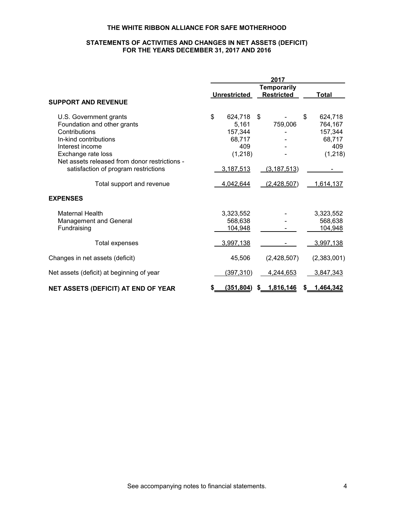## **STATEMENTS OF ACTIVITIES AND CHANGES IN NET ASSETS (DEFICIT) FOR THE YEARS DECEMBER 31, 2017 AND 2016**

|                                                       | 2017 |                     |    |                    |                          |
|-------------------------------------------------------|------|---------------------|----|--------------------|--------------------------|
|                                                       |      |                     |    | <b>Temporarily</b> |                          |
| <b>SUPPORT AND REVENUE</b>                            |      | <b>Unrestricted</b> |    | <b>Restricted</b>  | <b>Total</b>             |
|                                                       |      |                     |    |                    |                          |
| U.S. Government grants<br>Foundation and other grants | \$   | 624,718<br>5.161    | \$ | 759,006            | \$<br>624,718<br>764,167 |
| Contributions                                         |      | 157,344             |    |                    | 157,344                  |
| In-kind contributions                                 |      | 68,717              |    |                    | 68,717                   |
| Interest income                                       |      | 409                 |    |                    | 409                      |
| Exchange rate loss                                    |      | (1,218)             |    |                    | (1, 218)                 |
| Net assets released from donor restrictions -         |      |                     |    |                    |                          |
| satisfaction of program restrictions                  |      | 3,187,513           |    | (3, 187, 513)      |                          |
| Total support and revenue                             |      | 4,042,644           |    | (2,428,507)        | 1,614,137                |
| <b>EXPENSES</b>                                       |      |                     |    |                    |                          |
| <b>Maternal Health</b>                                |      | 3,323,552           |    |                    | 3,323,552                |
| Management and General                                |      | 568,638             |    |                    | 568,638                  |
| Fundraising                                           |      | 104,948             |    |                    | 104,948                  |
| <b>Total expenses</b>                                 |      | 3,997,138           |    |                    | 3,997,138                |
| Changes in net assets (deficit)                       |      | 45,506              |    | (2,428,507)        | (2,383,001)              |
| Net assets (deficit) at beginning of year             |      | <u>(397,310)</u>    |    | 4,244,653          | 3,847,343                |
| <b>NET ASSETS (DEFICIT) AT END OF YEAR</b>            |      | (351, 804)          | S. | 1,816,146          | 1,464,342                |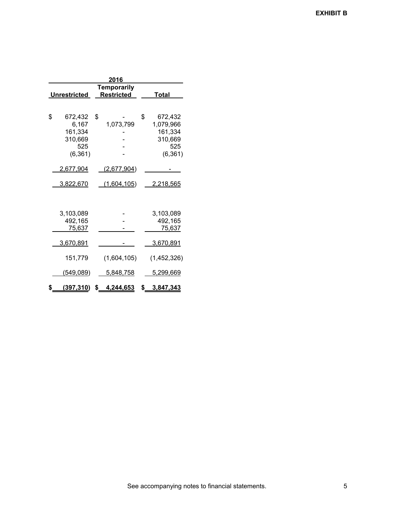| 2016                                                                    |                                                           |    |                  |    |                                                               |  |  |
|-------------------------------------------------------------------------|-----------------------------------------------------------|----|------------------|----|---------------------------------------------------------------|--|--|
| <b>Temporarily</b><br><b>Restricted</b><br><b>Unrestricted</b><br>Total |                                                           |    |                  |    |                                                               |  |  |
| \$                                                                      | 672,432<br>6,167<br>161,334<br>310,669<br>525<br>(6, 361) | \$ | 1,073,799        | \$ | 672,432<br>1,079,966<br>161,334<br>310,669<br>525<br>(6, 361) |  |  |
|                                                                         | <u>2,677,904</u>                                          |    | (2,677,904)      |    |                                                               |  |  |
|                                                                         | 3,822,670                                                 |    | (1,604,105)      |    | 2,218,565                                                     |  |  |
|                                                                         | 3,103,089<br>492,165<br>75,637                            |    |                  |    | 3,103,089<br>492,165<br>75,637                                |  |  |
|                                                                         | 3,670,891                                                 |    |                  |    | <u>3,670,891</u>                                              |  |  |
|                                                                         | 151,779                                                   |    | (1,604,105)      |    | (1,452,326)                                                   |  |  |
|                                                                         | <u>(549,089)</u>                                          |    | <u>5,848,758</u> |    | 5,299,669                                                     |  |  |
| S                                                                       | (397,310)                                                 | S  | 4,244,653        | \$ | 3,847,343                                                     |  |  |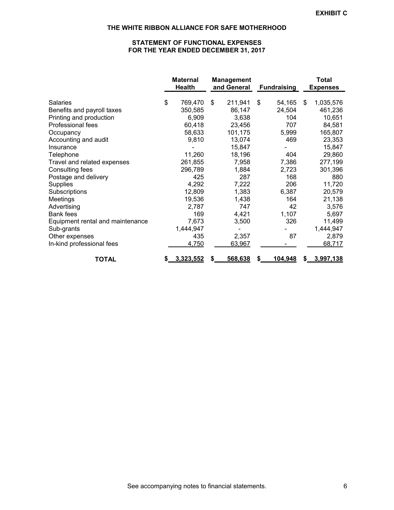## **STATEMENT OF FUNCTIONAL EXPENSES FOR THE YEAR ENDED DECEMBER 31, 2017**

|                                  | <b>Maternal</b><br>Health | <b>Management</b><br>and General |    | <b>Fundraising</b> | <b>Total</b><br><b>Expenses</b> |
|----------------------------------|---------------------------|----------------------------------|----|--------------------|---------------------------------|
| <b>Salaries</b>                  | \$<br>769,470             | \$<br>211,941                    | \$ | 54,165             | \$<br>1,035,576                 |
| Benefits and payroll taxes       | 350,585                   | 86,147                           |    | 24,504             | 461,236                         |
| Printing and production          | 6,909                     | 3,638                            |    | 104                | 10,651                          |
| Professional fees                | 60,418                    | 23,456                           |    | 707                | 84,581                          |
| Occupancy                        | 58,633                    | 101,175                          |    | 5,999              | 165,807                         |
| Accounting and audit             | 9,810                     | 13,074                           |    | 469                | 23,353                          |
| Insurance                        |                           | 15,847                           |    |                    | 15,847                          |
| Telephone                        | 11,260                    | 18,196                           |    | 404                | 29,860                          |
| Travel and related expenses      | 261,855                   | 7,958                            |    | 7,386              | 277,199                         |
| Consulting fees                  | 296,789                   | 1,884                            |    | 2,723              | 301,396                         |
| Postage and delivery             | 425                       | 287                              |    | 168                | 880                             |
| <b>Supplies</b>                  | 4,292                     | 7,222                            |    | 206                | 11,720                          |
| Subscriptions                    | 12,809                    | 1,383                            |    | 6,387              | 20,579                          |
| Meetings                         | 19,536                    | 1,438                            |    | 164                | 21,138                          |
| Advertising                      | 2,787                     | 747                              |    | 42                 | 3,576                           |
| <b>Bank fees</b>                 | 169                       | 4,421                            |    | 1,107              | 5,697                           |
| Equipment rental and maintenance | 7,673                     | 3,500                            |    | 326                | 11,499                          |
| Sub-grants                       | 1,444,947                 |                                  |    |                    | 1,444,947                       |
| Other expenses                   | 435                       | 2,357                            |    | 87                 | 2,879                           |
| In-kind professional fees        | 4,750                     | 63,967                           |    |                    | 68,717                          |
| <b>TOTAL</b>                     | 3,323,552                 | 568,638                          | S  | 104,948            | \$<br>3,997,138                 |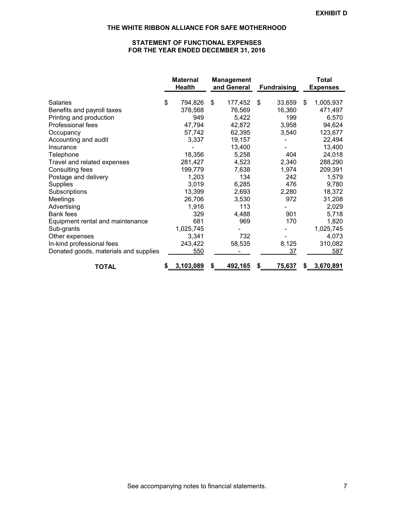## **STATEMENT OF FUNCTIONAL EXPENSES FOR THE YEAR ENDED DECEMBER 31, 2016**

|                                       | <b>Maternal</b><br>Health |    | <b>Management</b><br>and General |    | <b>Fundraising</b> | <b>Total</b><br><b>Expenses</b> |
|---------------------------------------|---------------------------|----|----------------------------------|----|--------------------|---------------------------------|
| Salaries                              | \$<br>794,826             | \$ | 177,452                          | \$ | 33,659             | \$<br>1,005,937                 |
| Benefits and payroll taxes            | 378,568                   |    | 76,569                           |    | 16,360             | 471,497                         |
| Printing and production               | 949                       |    | 5,422                            |    | 199                | 6,570                           |
| Professional fees                     | 47,794                    |    | 42,872                           |    | 3,958              | 94,624                          |
| Occupancy                             | 57,742                    |    | 62,395                           |    | 3,540              | 123,677                         |
| Accounting and audit                  | 3,337                     |    | 19,157                           |    |                    | 22,494                          |
| Insurance                             |                           |    | 13,400                           |    |                    | 13,400                          |
| <b>Telephone</b>                      | 18,356                    |    | 5,258                            |    | 404                | 24,018                          |
| Travel and related expenses           | 281,427                   |    | 4,523                            |    | 2,340              | 288,290                         |
| Consulting fees                       | 199,779                   |    | 7,638                            |    | 1,974              | 209,391                         |
| Postage and delivery                  | 1,203                     |    | 134                              |    | 242                | 1,579                           |
| Supplies                              | 3,019                     |    | 6,285                            |    | 476                | 9,780                           |
| Subscriptions                         | 13,399                    |    | 2,693                            |    | 2,280              | 18,372                          |
| Meetings                              | 26,706                    |    | 3,530                            |    | 972                | 31,208                          |
| Advertising                           | 1,916                     |    | 113                              |    |                    | 2,029                           |
| <b>Bank fees</b>                      | 329                       |    | 4,488                            |    | 901                | 5,718                           |
| Equipment rental and maintenance      | 681                       |    | 969                              |    | 170                | 1,820                           |
| Sub-grants                            | 1,025,745                 |    |                                  |    |                    | 1,025,745                       |
| Other expenses                        | 3,341                     |    | 732                              |    |                    | 4,073                           |
| In-kind professional fees             | 243,422                   |    | 58,535                           |    | 8,125              | 310,082                         |
| Donated goods, materials and supplies | 550                       |    |                                  |    | 37                 | 587                             |
| <b>TOTAL</b>                          | 3,103,089                 | S  | <u>492,165</u>                   | S  | <u>75,637</u>      | \$<br>3,670,891                 |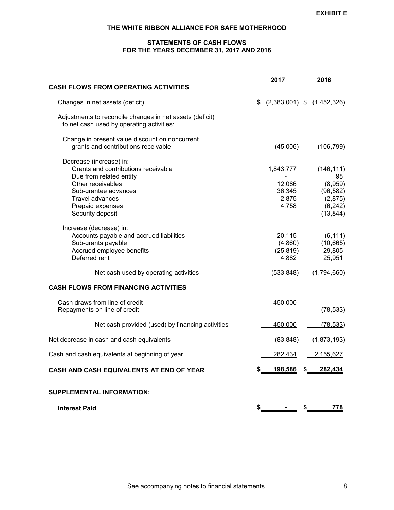## **STATEMENTS OF CASH FLOWS FOR THE YEARS DECEMBER 31, 2017 AND 2016**

|                                                                                                                                                                               | 2017                                            | 2016                                                            |
|-------------------------------------------------------------------------------------------------------------------------------------------------------------------------------|-------------------------------------------------|-----------------------------------------------------------------|
| <b>CASH FLOWS FROM OPERATING ACTIVITIES</b>                                                                                                                                   |                                                 |                                                                 |
| Changes in net assets (deficit)                                                                                                                                               | \$<br>$(2,383,001)$ \$ $(1,452,326)$            |                                                                 |
| Adjustments to reconcile changes in net assets (deficit)<br>to net cash used by operating activities:                                                                         |                                                 |                                                                 |
| Change in present value discount on noncurrent<br>grants and contributions receivable                                                                                         | (45,006)                                        | (106, 799)                                                      |
| Decrease (increase) in:<br>Grants and contributions receivable<br>Due from related entity<br>Other receivables<br>Sub-grantee advances<br>Travel advances<br>Prepaid expenses | 1,843,777<br>12,086<br>36,345<br>2,875<br>4,758 | (146, 111)<br>98<br>(8,959)<br>(96, 582)<br>(2,875)<br>(6, 242) |
| Security deposit                                                                                                                                                              |                                                 | (13, 844)                                                       |
| Increase (decrease) in:<br>Accounts payable and accrued liabilities<br>Sub-grants payable<br>Accrued employee benefits<br>Deferred rent                                       | 20,115<br>(4,860)<br>(25, 819)<br>4,882         | (6, 111)<br>(10, 665)<br>29,805<br>25,951                       |
| Net cash used by operating activities                                                                                                                                         | (533, 848)                                      | (1,794,660)                                                     |
| <b>CASH FLOWS FROM FINANCING ACTIVITIES</b>                                                                                                                                   |                                                 |                                                                 |
| Cash draws from line of credit<br>Repayments on line of credit                                                                                                                | 450,000                                         | (78, 533)                                                       |
| Net cash provided (used) by financing activities                                                                                                                              | 450,000                                         | (78, 533)                                                       |
| Net decrease in cash and cash equivalents                                                                                                                                     | (83, 848)                                       | (1,873,193)                                                     |
| Cash and cash equivalents at beginning of year                                                                                                                                | 282,434                                         | 2,155,627                                                       |
| CASH AND CASH EQUIVALENTS AT END OF YEAR                                                                                                                                      | 198,586                                         | \$<br>282,434                                                   |
| <b>SUPPLEMENTAL INFORMATION:</b>                                                                                                                                              |                                                 |                                                                 |
| <b>Interest Paid</b>                                                                                                                                                          | \$                                              | \$<br>778                                                       |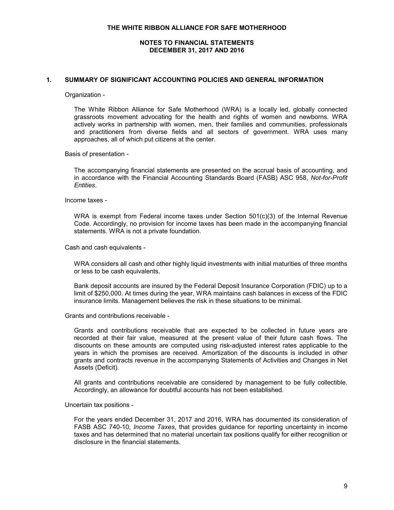#### **NOTES TO FINANCIAL STATEMENTS DECEMBER 31, 2017 AND 2016**

#### **1. SUMMARY OF SIGNIFICANT ACCOUNTING POLICIES AND GENERAL INFORMATION**

Organization -

The White Ribbon Alliance for Safe Motherhood (WRA) is a locally led, globally connected grassroots movement advocating for the health and rights of women and newborns. WRA actively works in partnership with women, men, their families and communities, professionals and practitioners from diverse fields and all sectors of government. WRA uses many approaches, all of which put citizens at the center.

Basis of presentation -

The accompanying financial statements are presented on the accrual basis of accounting, and in accordance with the Financial Accounting Standards Board (FASB) ASC 958, *Not-for-Profit Entities*.

Income taxes -

WRA is exempt from Federal income taxes under Section 501(c)(3) of the Internal Revenue Code. Accordingly, no provision for income taxes has been made in the accompanying financial statements. WRA is not a private foundation.

Cash and cash equivalents -

WRA considers all cash and other highly liquid investments with initial maturities of three months or less to be cash equivalents.

Bank deposit accounts are insured by the Federal Deposit Insurance Corporation (FDIC) up to a limit of \$250,000. At times during the year, WRA maintains cash balances in excess of the FDIC insurance limits. Management believes the risk in these situations to be minimal.

Grants and contributions receivable -

Grants and contributions receivable that are expected to be collected in future years are recorded at their fair value, measured at the present value of their future cash flows. The discounts on these amounts are computed using risk-adjusted interest rates applicable to the years in which the promises are received. Amortization of the discounts is included in other grants and contracts revenue in the accompanying Statements of Activities and Changes in Net Assets (Deficit).

All grants and contributions receivable are considered by management to be fully collectible. Accordingly, an allowance for doubtful accounts has not been established.

Uncertain tax positions -

For the years ended December 31, 2017 and 2016, WRA has documented its consideration of FASB ASC 740-10, *Income Taxes*, that provides guidance for reporting uncertainty in income taxes and has determined that no material uncertain tax positions qualify for either recognition or disclosure in the financial statements.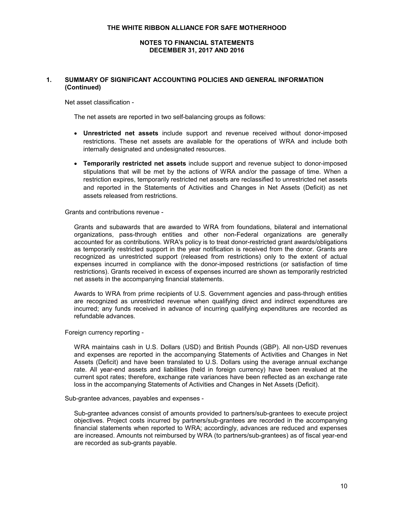#### **NOTES TO FINANCIAL STATEMENTS DECEMBER 31, 2017 AND 2016**

### **1. SUMMARY OF SIGNIFICANT ACCOUNTING POLICIES AND GENERAL INFORMATION (Continued)**

Net asset classification -

The net assets are reported in two self-balancing groups as follows:

- **Unrestricted net assets** include support and revenue received without donor-imposed restrictions. These net assets are available for the operations of WRA and include both internally designated and undesignated resources.
- **Temporarily restricted net assets** include support and revenue subject to donor-imposed stipulations that will be met by the actions of WRA and/or the passage of time. When a restriction expires, temporarily restricted net assets are reclassified to unrestricted net assets and reported in the Statements of Activities and Changes in Net Assets (Deficit) as net assets released from restrictions.

Grants and contributions revenue -

Grants and subawards that are awarded to WRA from foundations, bilateral and international organizations, pass-through entities and other non-Federal organizations are generally accounted for as contributions. WRA's policy is to treat donor-restricted grant awards/obligations as temporarily restricted support in the year notification is received from the donor. Grants are recognized as unrestricted support (released from restrictions) only to the extent of actual expenses incurred in compliance with the donor-imposed restrictions (or satisfaction of time restrictions). Grants received in excess of expenses incurred are shown as temporarily restricted net assets in the accompanying financial statements.

Awards to WRA from prime recipients of U.S. Government agencies and pass-through entities are recognized as unrestricted revenue when qualifying direct and indirect expenditures are incurred; any funds received in advance of incurring qualifying expenditures are recorded as refundable advances.

Foreign currency reporting -

WRA maintains cash in U.S. Dollars (USD) and British Pounds (GBP). All non-USD revenues and expenses are reported in the accompanying Statements of Activities and Changes in Net Assets (Deficit) and have been translated to U.S. Dollars using the average annual exchange rate. All year-end assets and liabilities (held in foreign currency) have been revalued at the current spot rates; therefore, exchange rate variances have been reflected as an exchange rate loss in the accompanying Statements of Activities and Changes in Net Assets (Deficit).

Sub-grantee advances, payables and expenses -

Sub-grantee advances consist of amounts provided to partners/sub-grantees to execute project objectives. Project costs incurred by partners/sub-grantees are recorded in the accompanying financial statements when reported to WRA; accordingly, advances are reduced and expenses are increased. Amounts not reimbursed by WRA (to partners/sub-grantees) as of fiscal year-end are recorded as sub-grants payable.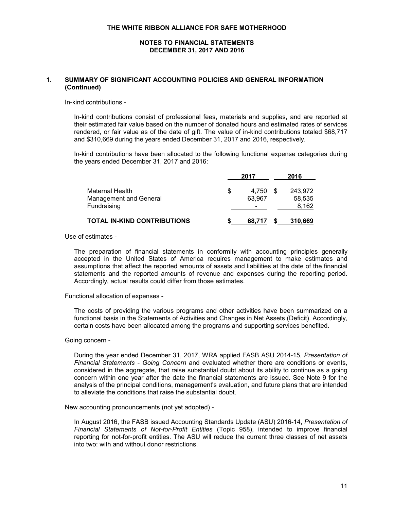### **1. SUMMARY OF SIGNIFICANT ACCOUNTING POLICIES AND GENERAL INFORMATION (Continued)**

In-kind contributions -

In-kind contributions consist of professional fees, materials and supplies, and are reported at their estimated fair value based on the number of donated hours and estimated rates of services rendered, or fair value as of the date of gift. The value of in-kind contributions totaled \$68,717 and \$310,669 during the years ended December 31, 2017 and 2016, respectively.

In-kind contributions have been allocated to the following functional expense categories during the years ended December 31, 2017 and 2016:

|                                                                 |   | 2017            | 2016 |                            |  |
|-----------------------------------------------------------------|---|-----------------|------|----------------------------|--|
| <b>Maternal Health</b><br>Management and General<br>Fundraising | S | 4.750<br>63.967 | - \$ | 243,972<br>58,535<br>8.162 |  |
| <b>TOTAL IN-KIND CONTRIBUTIONS</b>                              |   | 68,717          |      | 310,669                    |  |

Use of estimates -

The preparation of financial statements in conformity with accounting principles generally accepted in the United States of America requires management to make estimates and assumptions that affect the reported amounts of assets and liabilities at the date of the financial statements and the reported amounts of revenue and expenses during the reporting period. Accordingly, actual results could differ from those estimates.

Functional allocation of expenses -

The costs of providing the various programs and other activities have been summarized on a functional basis in the Statements of Activities and Changes in Net Assets (Deficit). Accordingly, certain costs have been allocated among the programs and supporting services benefited.

Going concern -

During the year ended December 31, 2017, WRA applied FASB ASU 2014-15, *Presentation of Financial Statements - Going Concern* and evaluated whether there are conditions or events, considered in the aggregate, that raise substantial doubt about its ability to continue as a going concern within one year after the date the financial statements are issued. See Note 9 for the analysis of the principal conditions, management's evaluation, and future plans that are intended to alleviate the conditions that raise the substantial doubt.

New accounting pronouncements (not yet adopted) -

In August 2016, the FASB issued Accounting Standards Update (ASU) 2016-14, *Presentation of Financial Statements of Not-for-Profit Entities* (Topic 958), intended to improve financial reporting for not-for-profit entities. The ASU will reduce the current three classes of net assets into two: with and without donor restrictions.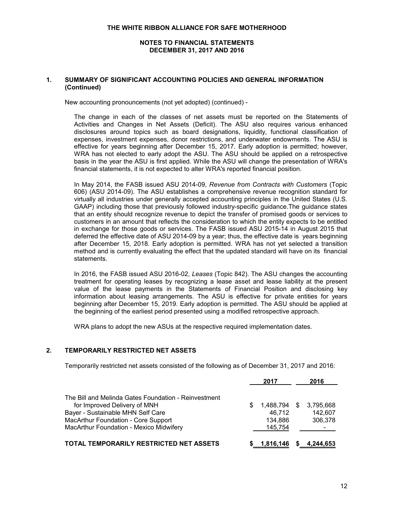### **1. SUMMARY OF SIGNIFICANT ACCOUNTING POLICIES AND GENERAL INFORMATION (Continued)**

New accounting pronouncements (not yet adopted) (continued) -

The change in each of the classes of net assets must be reported on the Statements of Activities and Changes in Net Assets (Deficit). The ASU also requires various enhanced disclosures around topics such as board designations, liquidity, functional classification of expenses, investment expenses, donor restrictions, and underwater endowments. The ASU is effective for years beginning after December 15, 2017. Early adoption is permitted; however, WRA has not elected to early adopt the ASU. The ASU should be applied on a retrospective basis in the year the ASU is first applied. While the ASU will change the presentation of WRA's financial statements, it is not expected to alter WRA's reported financial position.

In May 2014, the FASB issued ASU 2014-09, *Revenue from Contracts with Customers* (Topic 606) (ASU 2014-09). The ASU establishes a comprehensive revenue recognition standard for virtually all industries under generally accepted accounting principles in the United States (U.S. GAAP) including those that previously followed industry-specific guidance.The guidance states that an entity should recognize revenue to depict the transfer of promised goods or services to customers in an amount that reflects the consideration to which the entity expects to be entitled in exchange for those goods or services. The FASB issued ASU 2015-14 in August 2015 that deferred the effective date of ASU 2014-09 by a year; thus, the effective date is years beginning after December 15, 2018. Early adoption is permitted. WRA has not yet selected a transition method and is currently evaluating the effect that the updated standard will have on its financial statements.

In 2016, the FASB issued ASU 2016-02, *Leases* (Topic 842). The ASU changes the accounting treatment for operating leases by recognizing a lease asset and lease liability at the present value of the lease payments in the Statements of Financial Position and disclosing key information about leasing arrangements. The ASU is effective for private entities for years beginning after December 15, 2019. Early adoption is permitted. The ASU should be applied at the beginning of the earliest period presented using a modified retrospective approach.

WRA plans to adopt the new ASUs at the respective required implementation dates.

## **2. TEMPORARILY RESTRICTED NET ASSETS**

Temporarily restricted net assets consisted of the following as of December 31, 2017 and 2016:

|                                                                                                                                                                                                             | 2017                                         | 2016                            |
|-------------------------------------------------------------------------------------------------------------------------------------------------------------------------------------------------------------|----------------------------------------------|---------------------------------|
| The Bill and Melinda Gates Foundation - Reinvestment<br>for Improved Delivery of MNH<br>Bayer - Sustainable MHN Self Care<br>MacArthur Foundation - Core Support<br>MacArthur Foundation - Mexico Midwifery | 1,488,794 \$<br>46.712<br>134.886<br>145.754 | 3,795,668<br>142.607<br>306.378 |
| TOTAL TEMPORARILY RESTRICTED NET ASSETS                                                                                                                                                                     | 1,816,146                                    | 4,244,653                       |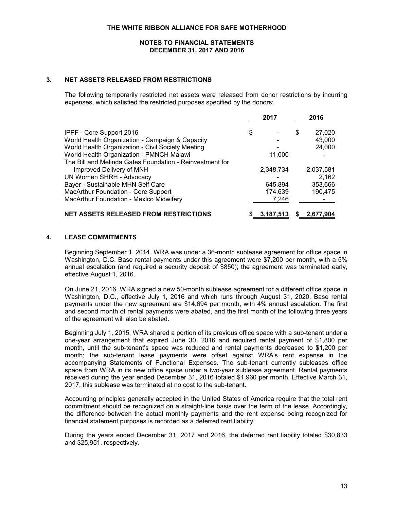### **3. NET ASSETS RELEASED FROM RESTRICTIONS**

The following temporarily restricted net assets were released from donor restrictions by incurring expenses, which satisfied the restricted purposes specified by the donors:

|                                                          | 2017        |    | 2016      |
|----------------------------------------------------------|-------------|----|-----------|
| IPPF - Core Support 2016                                 | \$          | S  | 27,020    |
| World Health Organization - Campaign & Capacity          |             |    | 43,000    |
| World Health Organization - Civil Society Meeting        |             |    | 24,000    |
| World Health Organization - PMNCH Malawi                 | 11,000      |    |           |
| The Bill and Melinda Gates Foundation - Reinvestment for |             |    |           |
| Improved Delivery of MNH                                 | 2,348,734   |    | 2,037,581 |
| UN Women SHRH - Advocacy                                 |             |    | 2,162     |
| Bayer - Sustainable MHN Self Care                        | 645,894     |    | 353,666   |
| MacArthur Foundation - Core Support                      | 174,639     |    | 190,475   |
| MacArthur Foundation - Mexico Midwifery                  | 7,246       |    |           |
| <b>NET ASSETS RELEASED FROM RESTRICTIONS</b>             | \$3,187,513 | S. | 2.677.904 |

### **4. LEASE COMMITMENTS**

Beginning September 1, 2014, WRA was under a 36-month sublease agreement for office space in Washington, D.C. Base rental payments under this agreement were \$7,200 per month, with a 5% annual escalation (and required a security deposit of \$850); the agreement was terminated early, effective August 1, 2016.

On June 21, 2016, WRA signed a new 50-month sublease agreement for a different office space in Washington, D.C., effective July 1, 2016 and which runs through August 31, 2020. Base rental payments under the new agreement are \$14,694 per month, with 4% annual escalation. The first and second month of rental payments were abated, and the first month of the following three years of the agreement will also be abated.

Beginning July 1, 2015, WRA shared a portion of its previous office space with a sub-tenant under a one-year arrangement that expired June 30, 2016 and required rental payment of \$1,800 per month, until the sub-tenant's space was reduced and rental payments decreased to \$1,200 per month; the sub-tenant lease payments were offset against WRA's rent expense in the accompanying Statements of Functional Expenses. The sub-tenant currently subleases office space from WRA in its new office space under a two-year sublease agreement. Rental payments received during the year ended December 31, 2016 totaled \$1,960 per month. Effective March 31, 2017, this sublease was terminated at no cost to the sub-tenant.

Accounting principles generally accepted in the United States of America require that the total rent commitment should be recognized on a straight-line basis over the term of the lease. Accordingly, the difference between the actual monthly payments and the rent expense being recognized for financial statement purposes is recorded as a deferred rent liability.

During the years ended December 31, 2017 and 2016, the deferred rent liability totaled \$30,833 and \$25,951, respectively.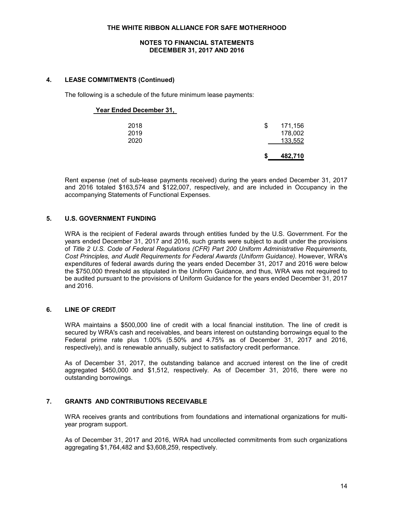#### **NOTES TO FINANCIAL STATEMENTS DECEMBER 31, 2017 AND 2016**

### **4. LEASE COMMITMENTS (Continued)**

The following is a schedule of the future minimum lease payments:

## **Year Ended December 31,**

|      |   | 482,710 |
|------|---|---------|
| 2020 |   | 133,552 |
| 2019 |   | 178,002 |
| 2018 | S | 171,156 |
|      |   |         |

Rent expense (net of sub-lease payments received) during the years ended December 31, 2017 and 2016 totaled \$163,574 and \$122,007, respectively, and are included in Occupancy in the accompanying Statements of Functional Expenses.

### **5. U.S. GOVERNMENT FUNDING**

WRA is the recipient of Federal awards through entities funded by the U.S. Government. For the years ended December 31, 2017 and 2016, such grants were subject to audit under the provisions of *Title 2 U.S. Code of Federal Regulations (CFR) Part 200 Uniform Administrative Requirements, Cost Principles, and Audit Requirements for Federal Awards (Uniform Guidance).* However, WRA's expenditures of federal awards during the years ended December 31, 2017 and 2016 were below the \$750,000 threshold as stipulated in the Uniform Guidance, and thus, WRA was not required to be audited pursuant to the provisions of Uniform Guidance for the years ended December 31, 2017 and 2016.

### **6. LINE OF CREDIT**

WRA maintains a \$500,000 line of credit with a local financial institution. The line of credit is secured by WRA's cash and receivables, and bears interest on outstanding borrowings equal to the Federal prime rate plus 1.00% (5.50% and 4.75% as of December 31, 2017 and 2016, respectively), and is renewable annually, subject to satisfactory credit performance.

As of December 31, 2017, the outstanding balance and accrued interest on the line of credit aggregated \$450,000 and \$1,512, respectively. As of December 31, 2016, there were no outstanding borrowings.

## **7. GRANTS AND CONTRIBUTIONS RECEIVABLE**

WRA receives grants and contributions from foundations and international organizations for multiyear program support.

As of December 31, 2017 and 2016, WRA had uncollected commitments from such organizations aggregating \$1,764,482 and \$3,608,259, respectively.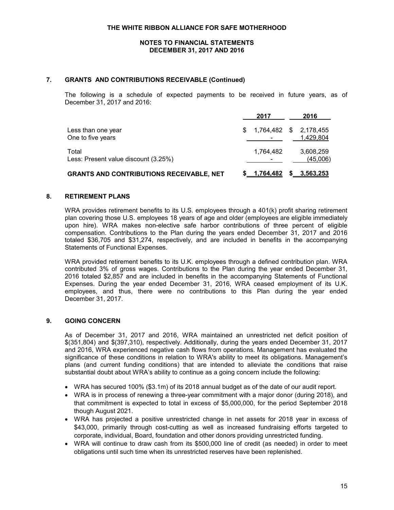### **7. GRANTS AND CONTRIBUTIONS RECEIVABLE (Continued)**

The following is a schedule of expected payments to be received in future years, as of December 31, 2017 and 2016:

|                                                 |     | 2017        |    | 2016                                |
|-------------------------------------------------|-----|-------------|----|-------------------------------------|
| Less than one year<br>One to five years         | SS. |             |    | 1,764,482 \$ 2,178,455<br>1,429,804 |
| Total<br>Less: Present value discount (3.25%)   |     | 1.764.482   |    | 3,608,259<br>(45,006)               |
| <b>GRANTS AND CONTRIBUTIONS RECEIVABLE, NET</b> |     | \$1,764,482 | S. | <u>3,563,253</u>                    |

### **8. RETIREMENT PLANS**

WRA provides retirement benefits to its U.S. employees through a 401(k) profit sharing retirement plan covering those U.S. employees 18 years of age and older (employees are eligible immediately upon hire). WRA makes non-elective safe harbor contributions of three percent of eligible compensation. Contributions to the Plan during the years ended December 31, 2017 and 2016 totaled \$36,705 and \$31,274, respectively, and are included in benefits in the accompanying Statements of Functional Expenses.

WRA provided retirement benefits to its U.K. employees through a defined contribution plan. WRA contributed 3% of gross wages. Contributions to the Plan during the year ended December 31, 2016 totaled \$2,857 and are included in benefits in the accompanying Statements of Functional Expenses. During the year ended December 31, 2016, WRA ceased employment of its U.K. employees, and thus, there were no contributions to this Plan during the year ended December 31, 2017.

## **9. GOING CONCERN**

As of December 31, 2017 and 2016, WRA maintained an unrestricted net deficit position of \$(351,804) and \$(397,310), respectively. Additionally, during the years ended December 31, 2017 and 2016, WRA experienced negative cash flows from operations. Management has evaluated the significance of these conditions in relation to WRA's ability to meet its obligations. Management's plans (and current funding conditions) that are intended to alleviate the conditions that raise substantial doubt about WRA's ability to continue as a going concern include the following:

- WRA has secured 100% (\$3.1m) of its 2018 annual budget as of the date of our audit report.
- WRA is in process of renewing a three-year commitment with a major donor (during 2018), and that commitment is expected to total in excess of \$5,000,000, for the period September 2018 though August 2021.
- WRA has projected a positive unrestricted change in net assets for 2018 year in excess of \$43,000, primarily through cost-cutting as well as increased fundraising efforts targeted to corporate, individual, Board, foundation and other donors providing unrestricted funding.
- WRA will continue to draw cash from its \$500,000 line of credit (as needed) in order to meet obligations until such time when its unrestricted reserves have been replenished.